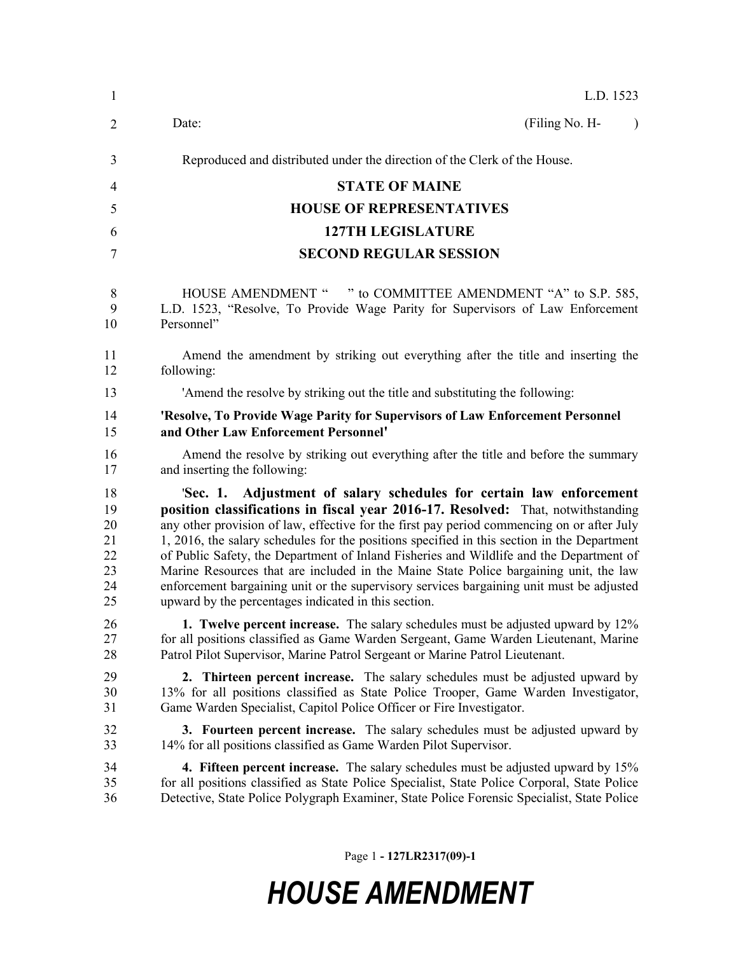| $\mathbf{1}$ | L.D. 1523                                                                                    |
|--------------|----------------------------------------------------------------------------------------------|
| 2            | Date:<br>(Filing No. H-<br>$\lambda$                                                         |
| 3            | Reproduced and distributed under the direction of the Clerk of the House.                    |
| 4            | <b>STATE OF MAINE</b>                                                                        |
| 5            | <b>HOUSE OF REPRESENTATIVES</b>                                                              |
| 6            | <b>127TH LEGISLATURE</b>                                                                     |
| 7            | <b>SECOND REGULAR SESSION</b>                                                                |
| 8            | HOUSE AMENDMENT " " to COMMITTEE AMENDMENT "A" to S.P. 585,                                  |
| 9            | L.D. 1523, "Resolve, To Provide Wage Parity for Supervisors of Law Enforcement               |
| 10           | Personnel"                                                                                   |
| 11           | Amend the amendment by striking out everything after the title and inserting the             |
| 12           | following:                                                                                   |
| 13           | 'Amend the resolve by striking out the title and substituting the following:                 |
| 14           | 'Resolve, To Provide Wage Parity for Supervisors of Law Enforcement Personnel                |
| 15           | and Other Law Enforcement Personnel'                                                         |
| 16           | Amend the resolve by striking out everything after the title and before the summary          |
| 17           | and inserting the following:                                                                 |
| 18           | 'Sec. 1. Adjustment of salary schedules for certain law enforcement                          |
| 19           | position classifications in fiscal year 2016-17. Resolved: That, notwithstanding             |
| 20           | any other provision of law, effective for the first pay period commencing on or after July   |
| 21           | 1, 2016, the salary schedules for the positions specified in this section in the Department  |
| 22           | of Public Safety, the Department of Inland Fisheries and Wildlife and the Department of      |
| 23           | Marine Resources that are included in the Maine State Police bargaining unit, the law        |
| 24           | enforcement bargaining unit or the supervisory services bargaining unit must be adjusted     |
| 25           | upward by the percentages indicated in this section.                                         |
| 26           | 1. Twelve percent increase. The salary schedules must be adjusted upward by 12%              |
| 27           | for all positions classified as Game Warden Sergeant, Game Warden Lieutenant, Marine         |
| 28           | Patrol Pilot Supervisor, Marine Patrol Sergeant or Marine Patrol Lieutenant.                 |
| 29           | <b>2.</b> Thirteen percent increase. The salary schedules must be adjusted upward by         |
| 30           | 13% for all positions classified as State Police Trooper, Game Warden Investigator,          |
| 31           | Game Warden Specialist, Capitol Police Officer or Fire Investigator.                         |
| 32           | <b>3. Fourteen percent increase.</b> The salary schedules must be adjusted upward by         |
| 33           | 14% for all positions classified as Game Warden Pilot Supervisor.                            |
| 34           | <b>4. Fifteen percent increase.</b> The salary schedules must be adjusted upward by 15%      |
| 35           | for all positions classified as State Police Specialist, State Police Corporal, State Police |
| 36           | Detective, State Police Polygraph Examiner, State Police Forensic Specialist, State Police   |

Page 1 **- 127LR2317(09)-1**

## *HOUSE AMENDMENT*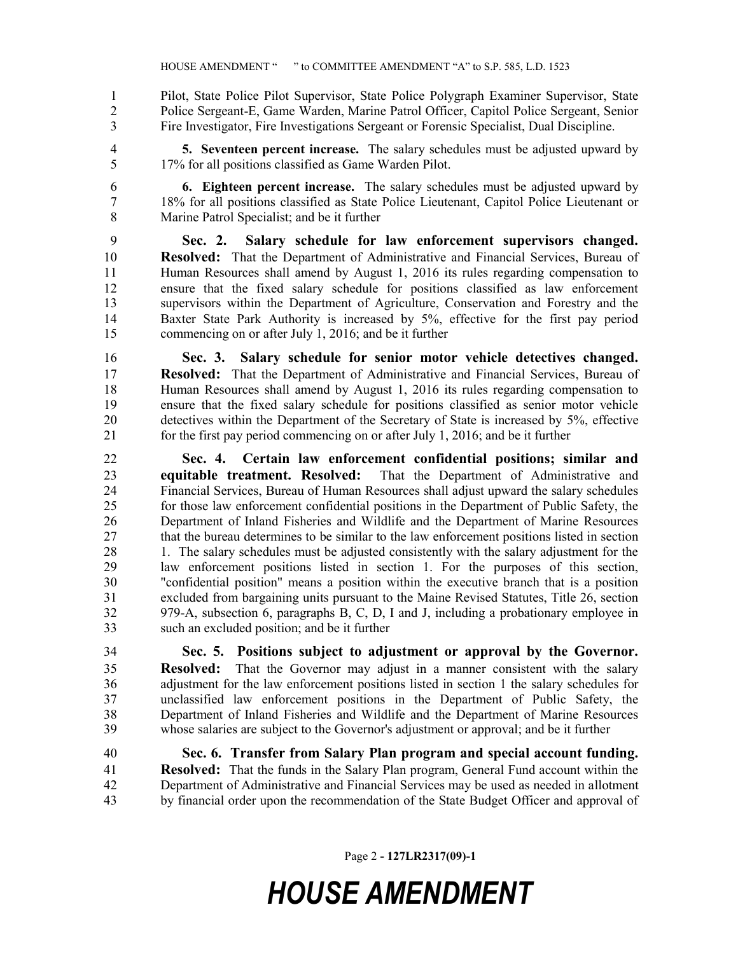Pilot, State Police Pilot Supervisor, State Police Polygraph Examiner Supervisor, State Police Sergeant-E, Game Warden, Marine Patrol Officer, Capitol Police Sergeant, Senior Fire Investigator, Fire Investigations Sergeant or Forensic Specialist, Dual Discipline.

 **5. Seventeen percent increase.** The salary schedules must be adjusted upward by 17% for all positions classified as Game Warden Pilot.

 **6. Eighteen percent increase.** The salary schedules must be adjusted upward by 18% for all positions classified as State Police Lieutenant, Capitol Police Lieutenant or Marine Patrol Specialist; and be it further

 **Sec. 2. Salary schedule for law enforcement supervisors changed. Resolved:** That the Department of Administrative and Financial Services, Bureau of Human Resources shall amend by August 1, 2016 its rules regarding compensation to ensure that the fixed salary schedule for positions classified as law enforcement supervisors within the Department of Agriculture, Conservation and Forestry and the Baxter State Park Authority is increased by 5%, effective for the first pay period commencing on or after July 1, 2016; and be it further

 **Sec. 3. Salary schedule for senior motor vehicle detectives changed. Resolved:** That the Department of Administrative and Financial Services, Bureau of Human Resources shall amend by August 1, 2016 its rules regarding compensation to ensure that the fixed salary schedule for positions classified as senior motor vehicle detectives within the Department of the Secretary of State is increased by 5%, effective for the first pay period commencing on or after July 1, 2016; and be it further

 **Sec. 4. Certain law enforcement confidential positions; similar and equitable treatment. Resolved:** That the Department of Administrative and Financial Services, Bureau of Human Resources shall adjust upward the salary schedules for those law enforcement confidential positions in the Department of Public Safety, the Department of Inland Fisheries and Wildlife and the Department of Marine Resources that the bureau determines to be similar to the law enforcement positions listed in section 28 1. The salary schedules must be adjusted consistently with the salary adjustment for the law enforcement positions listed in section 1. For the purposes of this section, "confidential position" means a position within the executive branch that is a position excluded from bargaining units pursuant to the Maine Revised Statutes, Title 26, section 979-A, subsection 6, paragraphs B, C, D, I and J, including a probationary employee in such an excluded position; and be it further

 **Sec. 5. Positions subject to adjustment or approval by the Governor. Resolved:** That the Governor may adjust in a manner consistent with the salary adjustment for the law enforcement positions listed in section 1 the salary schedules for unclassified law enforcement positions in the Department of Public Safety, the Department of Inland Fisheries and Wildlife and the Department of Marine Resources whose salaries are subject to the Governor's adjustment or approval; and be it further

 **Sec. 6. Transfer from Salary Plan program and special account funding. Resolved:** That the funds in the Salary Plan program, General Fund account within the Department of Administrative and Financial Services may be used as needed in allotment by financial order upon the recommendation of the State Budget Officer and approval of

Page 2 **- 127LR2317(09)-1**

## *HOUSE AMENDMENT*